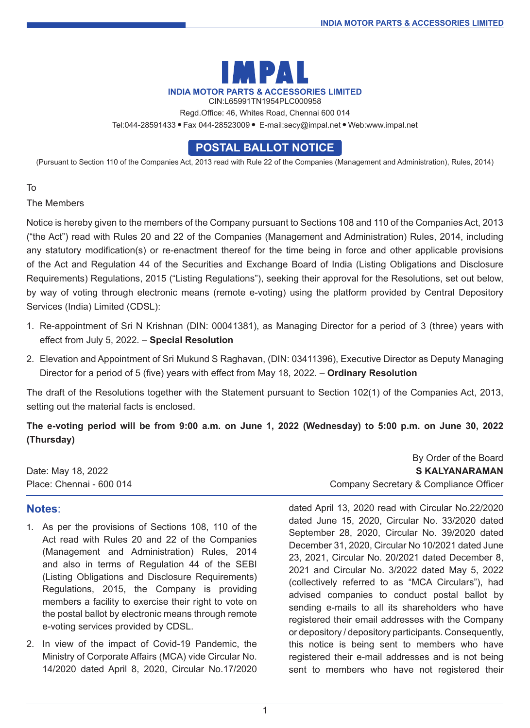

CIN:L65991TN1954PLC000958

Regd.Office: 46, Whites Road, Chennai 600 014

Tel:044-28591433 Fax 044-28523009 E-mail:secy@impal.net Web:www.impal.net

## **POSTAL BALLOT NOTICE**

(Pursuant to Section 110 of the Companies Act, 2013 read with Rule 22 of the Companies (Management and Administration), Rules, 2014)

To

The Members

Notice is hereby given to the members of the Company pursuant to Sections 108 and 110 of the Companies Act, 2013 ("the Act") read with Rules 20 and 22 of the Companies (Management and Administration) Rules, 2014, including any statutory modification(s) or re-enactment thereof for the time being in force and other applicable provisions of the Act and Regulation 44 of the Securities and Exchange Board of India (Listing Obligations and Disclosure Requirements) Regulations, 2015 ("Listing Regulations"), seeking their approval for the Resolutions, set out below, by way of voting through electronic means (remote e-voting) using the platform provided by Central Depository Services (India) Limited (CDSL):

- 1. Re-appointment of Sri N Krishnan (DIN: 00041381), as Managing Director for a period of 3 (three) years with effect from July 5, 2022. – **Special Resolution**
- 2. Elevation and Appointment of Sri Mukund S Raghavan, (DIN: 03411396), Executive Director as Deputy Managing Director for a period of 5 (five) years with effect from May 18, 2022. – **Ordinary Resolution**

The draft of the Resolutions together with the Statement pursuant to Section 102(1) of the Companies Act, 2013, setting out the material facts is enclosed.

**The e-voting period will be from 9:00 a.m. on June 1, 2022 (Wednesday) to 5:00 p.m. on June 30, 2022 (Thursday)**

#### **Notes**:

- 1. As per the provisions of Sections 108, 110 of the Act read with Rules 20 and 22 of the Companies (Management and Administration) Rules, 2014 and also in terms of Regulation 44 of the SEBI (Listing Obligations and Disclosure Requirements) Regulations, 2015, the Company is providing members a facility to exercise their right to vote on the postal ballot by electronic means through remote e-voting services provided by CDSL.
- 2. In view of the impact of Covid-19 Pandemic, the Ministry of Corporate Affairs (MCA) vide Circular No. 14/2020 dated April 8, 2020, Circular No.17/2020

By Order of the Board Date: May 18, 2022 **S Kalyanaraman** Place: Chennai - 600 014 Company Secretary & Compliance Officer

> dated April 13, 2020 read with Circular No.22/2020 dated June 15, 2020, Circular No. 33/2020 dated September 28, 2020, Circular No. 39/2020 dated December 31, 2020, Circular No 10/2021 dated June 23, 2021, Circular No. 20/2021 dated December 8, 2021 and Circular No. 3/2022 dated May 5, 2022 (collectively referred to as "MCA Circulars"), had advised companies to conduct postal ballot by sending e-mails to all its shareholders who have registered their email addresses with the Company or depository / depository participants. Consequently, this notice is being sent to members who have registered their e-mail addresses and is not being sent to members who have not registered their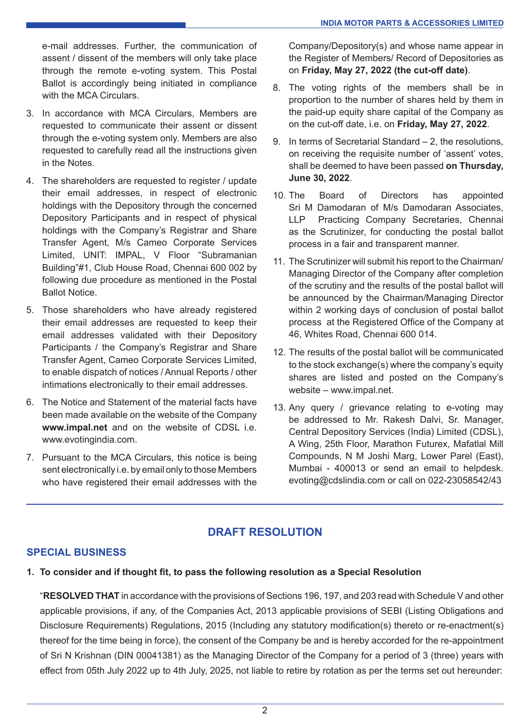e-mail addresses. Further, the communication of assent / dissent of the members will only take place through the remote e-voting system. This Postal Ballot is accordingly being initiated in compliance with the MCA Circulars.

- 3. In accordance with MCA Circulars, Members are requested to communicate their assent or dissent through the e-voting system only. Members are also requested to carefully read all the instructions given in the Notes.
- 4. The shareholders are requested to register / update their email addresses, in respect of electronic holdings with the Depository through the concerned Depository Participants and in respect of physical holdings with the Company's Registrar and Share Transfer Agent, M/s Cameo Corporate Services Limited, UNIT: IMPAL, V Floor "Subramanian Building"#1, Club House Road, Chennai 600 002 by following due procedure as mentioned in the Postal Ballot Notice.
- 5. Those shareholders who have already registered their email addresses are requested to keep their email addresses validated with their Depository Participants / the Company's Registrar and Share Transfer Agent, Cameo Corporate Services Limited, to enable dispatch of notices / Annual Reports / other intimations electronically to their email addresses.
- 6. The Notice and Statement of the material facts have been made available on the website of the Company **www.impal.net** and on the website of CDSL i.e. www.evotingindia.com.
- 7. Pursuant to the MCA Circulars, this notice is being sent electronically i.e. by email only to those Members who have registered their email addresses with the

Company/Depository(s) and whose name appear in the Register of Members/ Record of Depositories as on **Friday, May 27, 2022 (the cut-off date)**.

- 8. The voting rights of the members shall be in proportion to the number of shares held by them in the paid-up equity share capital of the Company as on the cut-off date, i.e. on **Friday, May 27, 2022**.
- 9. In terms of Secretarial Standard 2, the resolutions, on receiving the requisite number of 'assent' votes, shall be deemed to have been passed **on Thursday, June 30, 2022**.
- 10. The Board of Directors has appointed Sri M Damodaran of M/s Damodaran Associates, LLP Practicing Company Secretaries, Chennai as the Scrutinizer, for conducting the postal ballot process in a fair and transparent manner.
- 11. The Scrutinizer will submit his report to the Chairman/ Managing Director of the Company after completion of the scrutiny and the results of the postal ballot will be announced by the Chairman/Managing Director within 2 working days of conclusion of postal ballot process at the Registered Office of the Company at 46, Whites Road, Chennai 600 014.
- 12. The results of the postal ballot will be communicated to the stock exchange(s) where the company's equity shares are listed and posted on the Company's website – www.impal.net.
- 13. Any query / grievance relating to e-voting may be addressed to Mr. Rakesh Dalvi, Sr. Manager, Central Depository Services (India) Limited (CDSL), A Wing, 25th Floor, Marathon Futurex, Mafatlal Mill Compounds, N M Joshi Marg, Lower Parel (East), Mumbai - 400013 or send an email to helpdesk. evoting@cdslindia.com or call on 022-23058542/43

# **DRAFT RESOLUTION**

### **SPECIAL BUSINESS**

**1. To consider and if thought fit, to pass the following resolution as a Special Resolution**

"**RESOLVED THAT** in accordance with the provisions of Sections 196, 197, and 203 read with Schedule V and other applicable provisions, if any, of the Companies Act, 2013 applicable provisions of SEBI (Listing Obligations and Disclosure Requirements) Regulations, 2015 (Including any statutory modification(s) thereto or re-enactment(s) thereof for the time being in force), the consent of the Company be and is hereby accorded for the re-appointment of Sri N Krishnan (DIN 00041381) as the Managing Director of the Company for a period of 3 (three) years with effect from 05th July 2022 up to 4th July, 2025, not liable to retire by rotation as per the terms set out hereunder: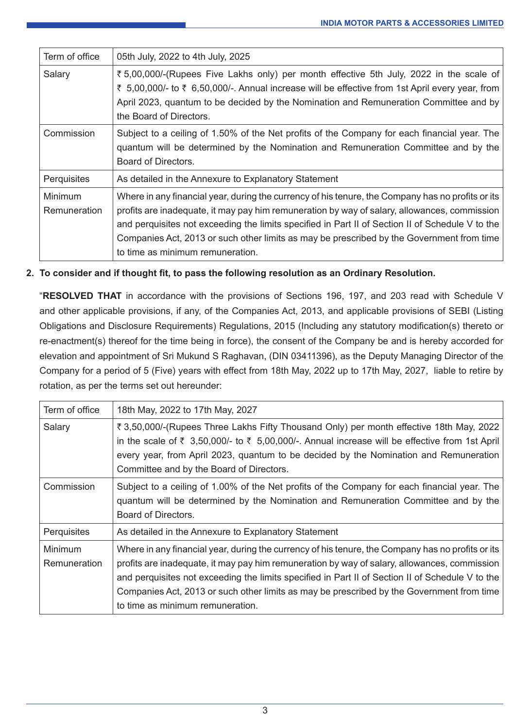| Term of office                        | 05th July, 2022 to 4th July, 2025                                                                                                                                                                                                                                                                                                                                                                                                      |
|---------------------------------------|----------------------------------------------------------------------------------------------------------------------------------------------------------------------------------------------------------------------------------------------------------------------------------------------------------------------------------------------------------------------------------------------------------------------------------------|
| Salary                                | ₹5,00,000/-(Rupees Five Lakhs only) per month effective 5th July, 2022 in the scale of<br>₹ 5,00,000/- to ₹ 6,50,000/-. Annual increase will be effective from 1st April every year, from<br>April 2023, quantum to be decided by the Nomination and Remuneration Committee and by<br>the Board of Directors.                                                                                                                          |
| Commission                            | Subject to a ceiling of 1.50% of the Net profits of the Company for each financial year. The<br>quantum will be determined by the Nomination and Remuneration Committee and by the<br>Board of Directors.                                                                                                                                                                                                                              |
| Perquisites                           | As detailed in the Annexure to Explanatory Statement                                                                                                                                                                                                                                                                                                                                                                                   |
| <b>Minimum</b><br><b>Remuneration</b> | Where in any financial year, during the currency of his tenure, the Company has no profits or its<br>profits are inadequate, it may pay him remuneration by way of salary, allowances, commission<br>and perquisites not exceeding the limits specified in Part II of Section II of Schedule V to the<br>Companies Act, 2013 or such other limits as may be prescribed by the Government from time<br>to time as minimum remuneration. |

#### **2. To consider and if thought fit, to pass the following resolution as an Ordinary Resolution.**

"**RESOLVED THAT** in accordance with the provisions of Sections 196, 197, and 203 read with Schedule V and other applicable provisions, if any, of the Companies Act, 2013, and applicable provisions of SEBI (Listing Obligations and Disclosure Requirements) Regulations, 2015 (Including any statutory modification(s) thereto or re-enactment(s) thereof for the time being in force), the consent of the Company be and is hereby accorded for elevation and appointment of Sri Mukund S Raghavan, (DIN 03411396), as the Deputy Managing Director of the Company for a period of 5 (Five) years with effect from 18th May, 2022 up to 17th May, 2027, liable to retire by rotation, as per the terms set out hereunder:

| Term of office                 | 18th May, 2022 to 17th May, 2027                                                                                                                                                                                                                                                                                                                                                                                                       |
|--------------------------------|----------------------------------------------------------------------------------------------------------------------------------------------------------------------------------------------------------------------------------------------------------------------------------------------------------------------------------------------------------------------------------------------------------------------------------------|
| Salary                         | ₹ 3,50,000/-(Rupees Three Lakhs Fifty Thousand Only) per month effective 18th May, 2022<br>in the scale of $\bar{\tau}$ 3,50,000/- to $\bar{\tau}$ 5,00,000/-. Annual increase will be effective from 1st April<br>every year, from April 2023, quantum to be decided by the Nomination and Remuneration<br>Committee and by the Board of Directors.                                                                                   |
| Commission                     | Subject to a ceiling of 1.00% of the Net profits of the Company for each financial year. The<br>quantum will be determined by the Nomination and Remuneration Committee and by the<br>Board of Directors.                                                                                                                                                                                                                              |
| Perquisites                    | As detailed in the Annexure to Explanatory Statement                                                                                                                                                                                                                                                                                                                                                                                   |
| <b>Minimum</b><br>Remuneration | Where in any financial year, during the currency of his tenure, the Company has no profits or its<br>profits are inadequate, it may pay him remuneration by way of salary, allowances, commission<br>and perquisites not exceeding the limits specified in Part II of Section II of Schedule V to the<br>Companies Act, 2013 or such other limits as may be prescribed by the Government from time<br>to time as minimum remuneration. |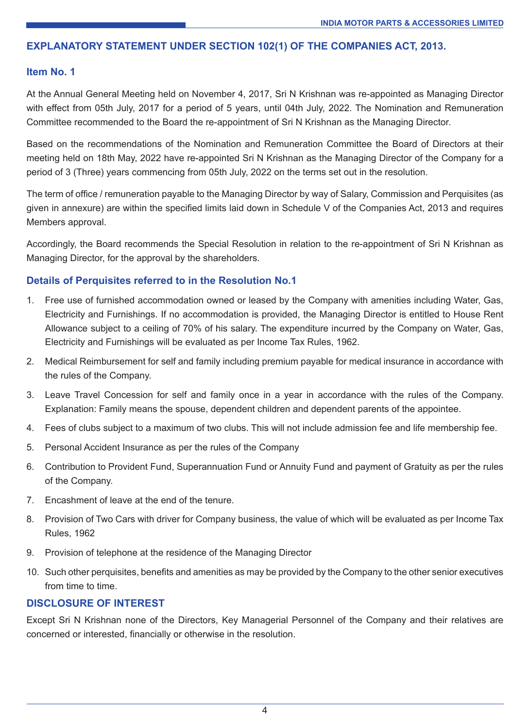#### **EXPLANATORY STATEMENT UNDER SECTION 102(1) OF THE COMPANIES ACT, 2013.**

#### **Item No. 1**

At the Annual General Meeting held on November 4, 2017, Sri N Krishnan was re-appointed as Managing Director with effect from 05th July, 2017 for a period of 5 years, until 04th July, 2022. The Nomination and Remuneration Committee recommended to the Board the re-appointment of Sri N Krishnan as the Managing Director.

Based on the recommendations of the Nomination and Remuneration Committee the Board of Directors at their meeting held on 18th May, 2022 have re-appointed Sri N Krishnan as the Managing Director of the Company for a period of 3 (Three) years commencing from 05th July, 2022 on the terms set out in the resolution.

The term of office / remuneration payable to the Managing Director by way of Salary, Commission and Perquisites (as given in annexure) are within the specified limits laid down in Schedule V of the Companies Act, 2013 and requires Members approval.

Accordingly, the Board recommends the Special Resolution in relation to the re-appointment of Sri N Krishnan as Managing Director, for the approval by the shareholders.

### **Details of Perquisites referred to in the Resolution No.1**

- 1. Free use of furnished accommodation owned or leased by the Company with amenities including Water, Gas, Electricity and Furnishings. If no accommodation is provided, the Managing Director is entitled to House Rent Allowance subject to a ceiling of 70% of his salary. The expenditure incurred by the Company on Water, Gas, Electricity and Furnishings will be evaluated as per Income Tax Rules, 1962.
- 2. Medical Reimbursement for self and family including premium payable for medical insurance in accordance with the rules of the Company.
- 3. Leave Travel Concession for self and family once in a year in accordance with the rules of the Company. Explanation: Family means the spouse, dependent children and dependent parents of the appointee.
- 4. Fees of clubs subject to a maximum of two clubs. This will not include admission fee and life membership fee.
- 5. Personal Accident Insurance as per the rules of the Company
- 6. Contribution to Provident Fund, Superannuation Fund or Annuity Fund and payment of Gratuity as per the rules of the Company.
- 7. Encashment of leave at the end of the tenure.
- 8. Provision of Two Cars with driver for Company business, the value of which will be evaluated as per Income Tax Rules, 1962
- 9. Provision of telephone at the residence of the Managing Director
- 10. Such other perquisites, benefits and amenities as may be provided by the Company to the other senior executives from time to time.

#### **DISCLOSURE OF INTEREST**

Except Sri N Krishnan none of the Directors, Key Managerial Personnel of the Company and their relatives are concerned or interested, financially or otherwise in the resolution.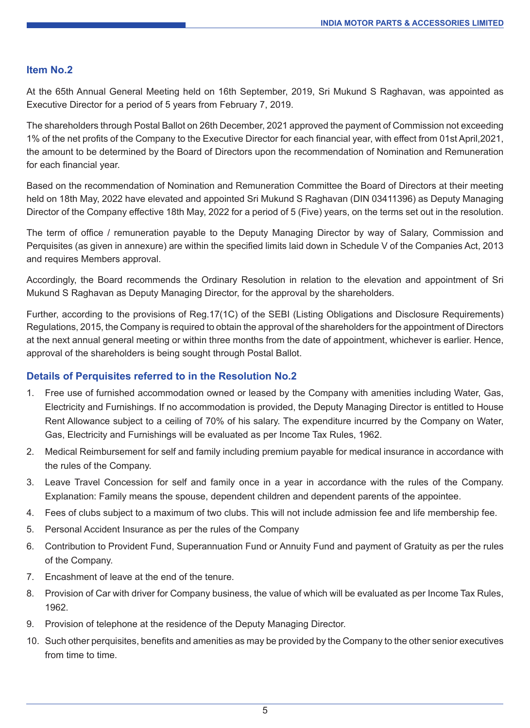#### **Item No.2**

At the 65th Annual General Meeting held on 16th September, 2019, Sri Mukund S Raghavan, was appointed as Executive Director for a period of 5 years from February 7, 2019.

The shareholders through Postal Ballot on 26th December, 2021 approved the payment of Commission not exceeding 1% of the net profits of the Company to the Executive Director for each financial year, with effect from 01st April,2021, the amount to be determined by the Board of Directors upon the recommendation of Nomination and Remuneration for each financial year.

Based on the recommendation of Nomination and Remuneration Committee the Board of Directors at their meeting held on 18th May, 2022 have elevated and appointed Sri Mukund S Raghavan (DIN 03411396) as Deputy Managing Director of the Company effective 18th May, 2022 for a period of 5 (Five) years, on the terms set out in the resolution.

The term of office / remuneration payable to the Deputy Managing Director by way of Salary, Commission and Perquisites (as given in annexure) are within the specified limits laid down in Schedule V of the Companies Act, 2013 and requires Members approval.

Accordingly, the Board recommends the Ordinary Resolution in relation to the elevation and appointment of Sri Mukund S Raghavan as Deputy Managing Director, for the approval by the shareholders.

Further, according to the provisions of Reg.17(1C) of the SEBI (Listing Obligations and Disclosure Requirements) Regulations, 2015, the Company is required to obtain the approval of the shareholders for the appointment of Directors at the next annual general meeting or within three months from the date of appointment, whichever is earlier. Hence, approval of the shareholders is being sought through Postal Ballot.

#### **Details of Perquisites referred to in the Resolution No.2**

- 1. Free use of furnished accommodation owned or leased by the Company with amenities including Water, Gas, Electricity and Furnishings. If no accommodation is provided, the Deputy Managing Director is entitled to House Rent Allowance subject to a ceiling of 70% of his salary. The expenditure incurred by the Company on Water, Gas, Electricity and Furnishings will be evaluated as per Income Tax Rules, 1962.
- 2. Medical Reimbursement for self and family including premium payable for medical insurance in accordance with the rules of the Company.
- 3. Leave Travel Concession for self and family once in a year in accordance with the rules of the Company. Explanation: Family means the spouse, dependent children and dependent parents of the appointee.
- 4. Fees of clubs subject to a maximum of two clubs. This will not include admission fee and life membership fee.
- 5. Personal Accident Insurance as per the rules of the Company
- 6. Contribution to Provident Fund, Superannuation Fund or Annuity Fund and payment of Gratuity as per the rules of the Company.
- 7. Encashment of leave at the end of the tenure.
- 8. Provision of Car with driver for Company business, the value of which will be evaluated as per Income Tax Rules, 1962.
- 9. Provision of telephone at the residence of the Deputy Managing Director.
- 10. Such other perquisites, benefits and amenities as may be provided by the Company to the other senior executives from time to time.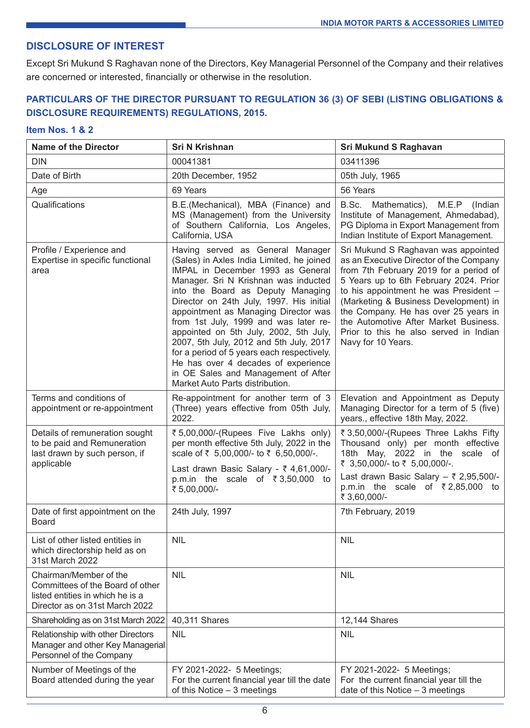#### **DISCLOSURE OF INTEREST**

Except Sri Mukund S Raghavan none of the Directors, Key Managerial Personnel of the Company and their relatives are concerned or interested, financially or otherwise in the resolution.

### **PARTICULARS OF THE DIRECTOR PURSUANT TO REGULATION 36 (3) OF SEBI (LISTING OBLIGATIONS & DISCLOSURE REQUIREMENTS) REGULATIONS, 2015.**

#### **Item Nos. 1 & 2**

| <b>Name of the Director</b>                                                                                                      | <b>Sri N Krishnan</b>                                                                                                                                                                                                                                                                                                                                                                                                                                                                                                                                                            | <b>Sri Mukund S Raghavan</b>                                                                                                                                                                                                                                                                                                                                                                          |
|----------------------------------------------------------------------------------------------------------------------------------|----------------------------------------------------------------------------------------------------------------------------------------------------------------------------------------------------------------------------------------------------------------------------------------------------------------------------------------------------------------------------------------------------------------------------------------------------------------------------------------------------------------------------------------------------------------------------------|-------------------------------------------------------------------------------------------------------------------------------------------------------------------------------------------------------------------------------------------------------------------------------------------------------------------------------------------------------------------------------------------------------|
| <b>DIN</b>                                                                                                                       | 00041381                                                                                                                                                                                                                                                                                                                                                                                                                                                                                                                                                                         | 03411396                                                                                                                                                                                                                                                                                                                                                                                              |
| Date of Birth                                                                                                                    | 20th December, 1952                                                                                                                                                                                                                                                                                                                                                                                                                                                                                                                                                              | 05th July, 1965                                                                                                                                                                                                                                                                                                                                                                                       |
| Age                                                                                                                              | 69 Years                                                                                                                                                                                                                                                                                                                                                                                                                                                                                                                                                                         | 56 Years                                                                                                                                                                                                                                                                                                                                                                                              |
| Qualifications                                                                                                                   | B.E.(Mechanical), MBA (Finance) and<br>MS (Management) from the University<br>of Southern California, Los Angeles,<br>California, USA                                                                                                                                                                                                                                                                                                                                                                                                                                            | B.Sc. Mathematics), M.E.P (Indian<br>Institute of Management, Ahmedabad),<br>PG Diploma in Export Management from<br>Indian Institute of Export Management.                                                                                                                                                                                                                                           |
| Profile / Experience and<br>Expertise in specific functional<br>area                                                             | Having served as General Manager<br>(Sales) in Axles India Limited, he joined<br>IMPAL in December 1993 as General<br>Manager. Sri N Krishnan was inducted<br>into the Board as Deputy Managing<br>Director on 24th July, 1997. His initial<br>appointment as Managing Director was<br>from 1st July, 1999 and was later re-<br>appointed on 5th July, 2002, 5th July,<br>2007, 5th July, 2012 and 5th July, 2017<br>for a period of 5 years each respectively.<br>He has over 4 decades of experience<br>in OE Sales and Management of After<br>Market Auto Parts distribution. | Sri Mukund S Raghavan was appointed<br>as an Executive Director of the Company<br>from 7th February 2019 for a period of<br>5 Years up to 6th February 2024. Prior<br>to his appointment he was President -<br>(Marketing & Business Development) in<br>the Company. He has over 25 years in<br>the Automotive After Market Business.<br>Prior to this he also served in Indian<br>Navy for 10 Years. |
| Terms and conditions of<br>appointment or re-appointment                                                                         | Re-appointment for another term of 3<br>(Three) years effective from 05th July,<br>2022.                                                                                                                                                                                                                                                                                                                                                                                                                                                                                         | Elevation and Appointment as Deputy<br>Managing Director for a term of 5 (five)<br>years., effective 18th May, 2022.                                                                                                                                                                                                                                                                                  |
| Details of remuneration sought<br>to be paid and Remuneration<br>last drawn by such person, if<br>applicable                     | ₹5,00,000/-(Rupees Five Lakhs only)<br>per month effective 5th July, 2022 in the<br>scale of ₹ 5,00,000/- to ₹ 6,50,000/-.<br>Last drawn Basic Salary - ₹ 4,61,000/-<br>p.m.in the scale of $\overline{\xi}$ 3,50,000 to<br>₹ 5,00,000/-                                                                                                                                                                                                                                                                                                                                         | ₹ 3,50,000/-(Rupees Three Lakhs Fifty<br>Thousand only) per month effective<br>18th May, 2022 in the scale of<br>₹ 3,50,000/- to ₹ 5,00,000/-.<br>Last drawn Basic Salary $-$ ₹ 2,95,500/-<br>p.m.in the scale of $\overline{\xi}$ 2,85,000 to<br>₹ 3,60,000/-                                                                                                                                        |
| Date of first appointment on the<br>Board                                                                                        | 24th July, 1997                                                                                                                                                                                                                                                                                                                                                                                                                                                                                                                                                                  | 7th February, 2019                                                                                                                                                                                                                                                                                                                                                                                    |
| List of other listed entities in<br>which directorship held as on<br>31st March 2022                                             | <b>NIL</b>                                                                                                                                                                                                                                                                                                                                                                                                                                                                                                                                                                       | <b>NIL</b>                                                                                                                                                                                                                                                                                                                                                                                            |
| Chairman/Member of the<br>Committees of the Board of other<br>listed entities in which he is a<br>Director as on 31st March 2022 | <b>NIL</b>                                                                                                                                                                                                                                                                                                                                                                                                                                                                                                                                                                       | <b>NIL</b>                                                                                                                                                                                                                                                                                                                                                                                            |
| Shareholding as on 31st March 2022                                                                                               | 40,311 Shares                                                                                                                                                                                                                                                                                                                                                                                                                                                                                                                                                                    | 12,144 Shares                                                                                                                                                                                                                                                                                                                                                                                         |
| Relationship with other Directors<br>Manager and other Key Managerial<br>Personnel of the Company                                | <b>NIL</b>                                                                                                                                                                                                                                                                                                                                                                                                                                                                                                                                                                       | <b>NIL</b>                                                                                                                                                                                                                                                                                                                                                                                            |
| Number of Meetings of the<br>Board attended during the year                                                                      | FY 2021-2022- 5 Meetings;<br>For the current financial year till the date<br>of this Notice $-3$ meetings                                                                                                                                                                                                                                                                                                                                                                                                                                                                        | FY 2021-2022- 5 Meetings;<br>For the current financial year till the<br>date of this Notice $-3$ meetings                                                                                                                                                                                                                                                                                             |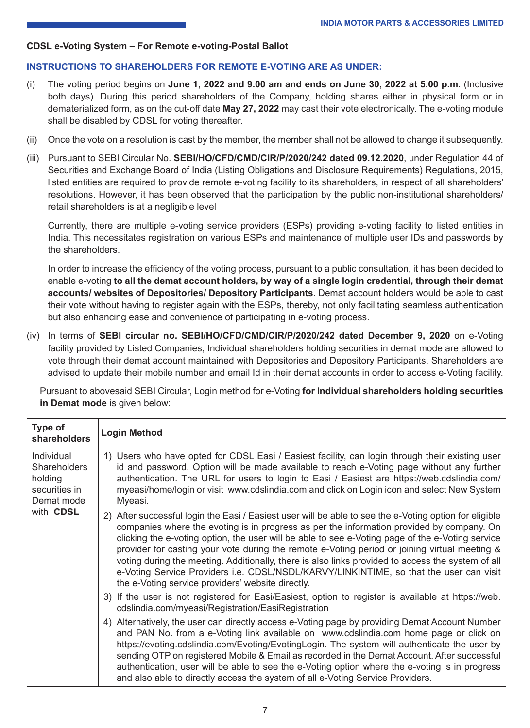#### **CDSL e-Voting System – For Remote e-voting-Postal Ballot**

#### **INSTRUCTIONS TO SHAREHOLDERS FOR REMOTE E-VOTING ARE AS UNDER:**

- (i) The voting period begins on **June 1, 2022 and 9.00 am and ends on June 30, 2022 at 5.00 p.m.** (Inclusive both days). During this period shareholders of the Company, holding shares either in physical form or in dematerialized form, as on the cut-off date **May 27, 2022** may cast their vote electronically. The e-voting module shall be disabled by CDSL for voting thereafter.
- (ii) Once the vote on a resolution is cast by the member, the member shall not be allowed to change it subsequently.
- (iii) Pursuant to SEBI Circular No. **SEBI/HO/CFD/CMD/CIR/P/2020/242 dated 09.12.2020**, under Regulation 44 of Securities and Exchange Board of India (Listing Obligations and Disclosure Requirements) Regulations, 2015, listed entities are required to provide remote e-voting facility to its shareholders, in respect of all shareholders' resolutions. However, it has been observed that the participation by the public non-institutional shareholders/ retail shareholders is at a negligible level

Currently, there are multiple e-voting service providers (ESPs) providing e-voting facility to listed entities in India. This necessitates registration on various ESPs and maintenance of multiple user IDs and passwords by the shareholders.

In order to increase the efficiency of the voting process, pursuant to a public consultation, it has been decided to enable e-voting **to all the demat account holders, by way of a single login credential, through their demat accounts/ websites of Depositories/ Depository Participants**. Demat account holders would be able to cast their vote without having to register again with the ESPs, thereby, not only facilitating seamless authentication but also enhancing ease and convenience of participating in e-voting process.

(iv) In terms of **SEBI circular no. SEBI/HO/CFD/CMD/CIR/P/2020/242 dated December 9, 2020** on e-Voting facility provided by Listed Companies, Individual shareholders holding securities in demat mode are allowed to vote through their demat account maintained with Depositories and Depository Participants. Shareholders are advised to update their mobile number and email Id in their demat accounts in order to access e-Voting facility.

Pursuant to abovesaid SEBI Circular, Login method for e-Voting **for** I**ndividual shareholders holding securities in Demat mode** is given below:

| Type of<br>shareholders                                                                  | <b>Login Method</b>                                                                                                                                                                                                                                                                                                                                                                                                                                                                                                                                                                                                                                          |
|------------------------------------------------------------------------------------------|--------------------------------------------------------------------------------------------------------------------------------------------------------------------------------------------------------------------------------------------------------------------------------------------------------------------------------------------------------------------------------------------------------------------------------------------------------------------------------------------------------------------------------------------------------------------------------------------------------------------------------------------------------------|
| Individual<br><b>Shareholders</b><br>holding<br>securities in<br>Demat mode<br>with CDSL | 1) Users who have opted for CDSL Easi / Easiest facility, can login through their existing user<br>id and password. Option will be made available to reach e-Voting page without any further<br>authentication. The URL for users to login to Easi / Easiest are https://web.cdslindia.com/<br>myeasi/home/login or visit www.cdslindia.com and click on Login icon and select New System<br>Myeasi.                                                                                                                                                                                                                                                         |
|                                                                                          | 2) After successful login the Easi / Easiest user will be able to see the e-Voting option for eligible<br>companies where the evoting is in progress as per the information provided by company. On<br>clicking the e-voting option, the user will be able to see e-Voting page of the e-Voting service<br>provider for casting your vote during the remote e-Voting period or joining virtual meeting &<br>voting during the meeting. Additionally, there is also links provided to access the system of all<br>e-Voting Service Providers i.e. CDSL/NSDL/KARVY/LINKINTIME, so that the user can visit<br>the e-Voting service providers' website directly. |
|                                                                                          | 3) If the user is not registered for Easi/Easiest, option to register is available at https://web.<br>cdslindia.com/myeasi/Registration/EasiRegistration                                                                                                                                                                                                                                                                                                                                                                                                                                                                                                     |
|                                                                                          | 4) Alternatively, the user can directly access e-Voting page by providing Demat Account Number<br>and PAN No. from a e-Voting link available on www.cdslindia.com home page or click on<br>https://evoting.cdslindia.com/Evoting/EvotingLogin. The system will authenticate the user by<br>sending OTP on registered Mobile & Email as recorded in the Demat Account. After successful<br>authentication, user will be able to see the e-Voting option where the e-voting is in progress<br>and also able to directly access the system of all e-Voting Service Providers.                                                                                   |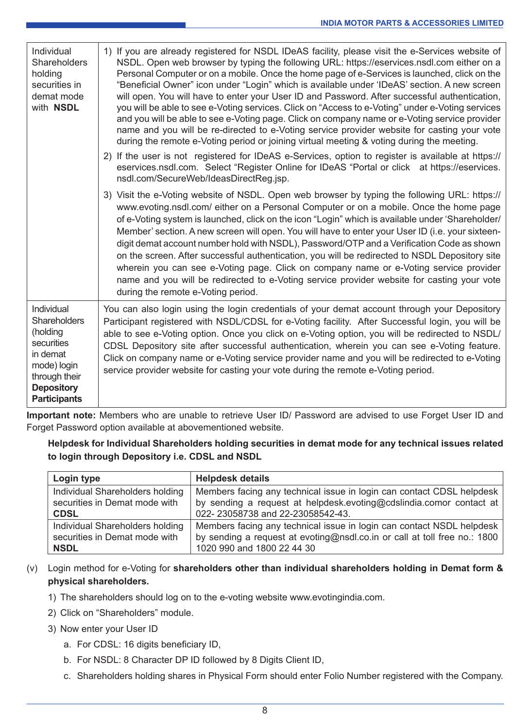| Individual<br>Shareholders<br>holding<br>securities in<br>demat mode<br>with NSDL                                                            | 1) If you are already registered for NSDL IDeAS facility, please visit the e-Services website of<br>NSDL. Open web browser by typing the following URL: https://eservices.nsdl.com either on a<br>Personal Computer or on a mobile. Once the home page of e-Services is launched, click on the<br>"Beneficial Owner" icon under "Login" which is available under 'IDeAS' section. A new screen<br>will open. You will have to enter your User ID and Password. After successful authentication,<br>you will be able to see e-Voting services. Click on "Access to e-Voting" under e-Voting services<br>and you will be able to see e-Voting page. Click on company name or e-Voting service provider<br>name and you will be re-directed to e-Voting service provider website for casting your vote<br>during the remote e-Voting period or joining virtual meeting & voting during the meeting. |
|----------------------------------------------------------------------------------------------------------------------------------------------|--------------------------------------------------------------------------------------------------------------------------------------------------------------------------------------------------------------------------------------------------------------------------------------------------------------------------------------------------------------------------------------------------------------------------------------------------------------------------------------------------------------------------------------------------------------------------------------------------------------------------------------------------------------------------------------------------------------------------------------------------------------------------------------------------------------------------------------------------------------------------------------------------|
|                                                                                                                                              | 2) If the user is not registered for IDeAS e-Services, option to register is available at https://<br>eservices.nsdl.com. Select "Register Online for IDeAS "Portal or click at https://eservices.<br>nsdl.com/SecureWeb/IdeasDirectReg.jsp.                                                                                                                                                                                                                                                                                                                                                                                                                                                                                                                                                                                                                                                     |
|                                                                                                                                              | 3) Visit the e-Voting website of NSDL. Open web browser by typing the following URL: https://<br>www.evoting.nsdl.com/either on a Personal Computer or on a mobile. Once the home page<br>of e-Voting system is launched, click on the icon "Login" which is available under 'Shareholder/<br>Member' section. A new screen will open. You will have to enter your User ID (i.e. your sixteen-<br>digit demat account number hold with NSDL), Password/OTP and a Verification Code as shown<br>on the screen. After successful authentication, you will be redirected to NSDL Depository site<br>wherein you can see e-Voting page. Click on company name or e-Voting service provider<br>name and you will be redirected to e-Voting service provider website for casting your vote<br>during the remote e-Voting period.                                                                       |
| Individual<br>Shareholders<br>(holding<br>securities<br>in demat<br>mode) login<br>through their<br><b>Depository</b><br><b>Participants</b> | You can also login using the login credentials of your demat account through your Depository<br>Participant registered with NSDL/CDSL for e-Voting facility. After Successful login, you will be<br>able to see e-Voting option. Once you click on e-Voting option, you will be redirected to NSDL/<br>CDSL Depository site after successful authentication, wherein you can see e-Voting feature.<br>Click on company name or e-Voting service provider name and you will be redirected to e-Voting<br>service provider website for casting your vote during the remote e-Voting period.                                                                                                                                                                                                                                                                                                        |

**Important note:** Members who are unable to retrieve User ID/ Password are advised to use Forget User ID and Forget Password option available at abovementioned website.

**Helpdesk for Individual Shareholders holding securities in demat mode for any technical issues related to login through Depository i.e. CDSL and NSDL**

| Login type                      | <b>Helpdesk details</b>                                                   |
|---------------------------------|---------------------------------------------------------------------------|
| Individual Shareholders holding | Members facing any technical issue in login can contact CDSL helpdesk     |
| securities in Demat mode with   | by sending a request at helpdesk.evoting@cdslindia.comor contact at       |
| <b>CDSL</b>                     | 022-23058738 and 22-23058542-43.                                          |
| Individual Shareholders holding | Members facing any technical issue in login can contact NSDL helpdesk     |
| securities in Demat mode with   | by sending a request at evoting@nsdl.co.in or call at toll free no.: 1800 |
| <b>NSDL</b>                     | 1020 990 and 1800 22 44 30                                                |

#### (v) Login method for e-Voting for **shareholders other than individual shareholders holding in Demat form & physical shareholders.**

- 1) The shareholders should log on to the e-voting website www.evotingindia.com.
- 2) Click on "Shareholders" module.
- 3) Now enter your User ID
	- a. For CDSL: 16 digits beneficiary ID,
	- b. For NSDL: 8 Character DP ID followed by 8 Digits Client ID,
	- c. Shareholders holding shares in Physical Form should enter Folio Number registered with the Company.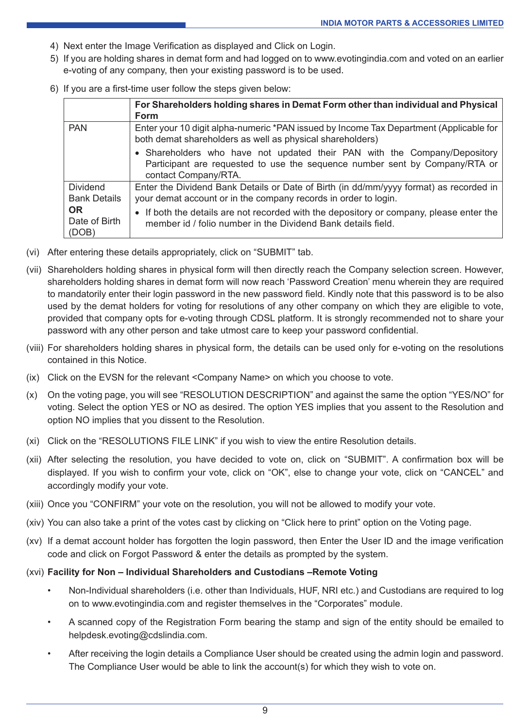- 4) Next enter the Image Verification as displayed and Click on Login.
- 5) If you are holding shares in demat form and had logged on to www.evotingindia.com and voted on an earlier e-voting of any company, then your existing password is to be used.
- 6) If you are a first-time user follow the steps given below:

|                                                                        | For Shareholders holding shares in Demat Form other than individual and Physical<br><b>Form</b>                                                                                  |
|------------------------------------------------------------------------|----------------------------------------------------------------------------------------------------------------------------------------------------------------------------------|
| <b>PAN</b>                                                             | Enter your 10 digit alpha-numeric *PAN issued by Income Tax Department (Applicable for<br>both demat shareholders as well as physical shareholders)                              |
|                                                                        | • Shareholders who have not updated their PAN with the Company/Depository<br>Participant are requested to use the sequence number sent by Company/RTA or<br>contact Company/RTA. |
| Dividend<br><b>Bank Details</b><br><b>OR</b><br>Date of Birth<br>(DOB) | Enter the Dividend Bank Details or Date of Birth (in dd/mm/yyyy format) as recorded in<br>your demat account or in the company records in order to login.                        |
|                                                                        | If both the details are not recorded with the depository or company, please enter the<br>member id / folio number in the Dividend Bank details field.                            |

- (vi) After entering these details appropriately, click on "SUBMIT" tab.
- (vii) Shareholders holding shares in physical form will then directly reach the Company selection screen. However, shareholders holding shares in demat form will now reach 'Password Creation' menu wherein they are required to mandatorily enter their login password in the new password field. Kindly note that this password is to be also used by the demat holders for voting for resolutions of any other company on which they are eligible to vote, provided that company opts for e-voting through CDSL platform. It is strongly recommended not to share your password with any other person and take utmost care to keep your password confidential.
- (viii) For shareholders holding shares in physical form, the details can be used only for e-voting on the resolutions contained in this Notice.
- (ix) Click on the EVSN for the relevant <Company Name> on which you choose to vote.
- (x) On the voting page, you will see "RESOLUTION DESCRIPTION" and against the same the option "YES/NO" for voting. Select the option YES or NO as desired. The option YES implies that you assent to the Resolution and option NO implies that you dissent to the Resolution.
- (xi) Click on the "RESOLUTIONS FILE LINK" if you wish to view the entire Resolution details.
- (xii) After selecting the resolution, you have decided to vote on, click on "SUBMIT". A confirmation box will be displayed. If you wish to confirm your vote, click on "OK", else to change your vote, click on "CANCEL" and accordingly modify your vote.
- (xiii) Once you "CONFIRM" your vote on the resolution, you will not be allowed to modify your vote.
- (xiv) You can also take a print of the votes cast by clicking on "Click here to print" option on the Voting page.
- (xv) If a demat account holder has forgotten the login password, then Enter the User ID and the image verification code and click on Forgot Password & enter the details as prompted by the system.
- (xvi) **Facility for Non Individual Shareholders and Custodians –Remote Voting**
	- Non-Individual shareholders (i.e. other than Individuals, HUF, NRI etc.) and Custodians are required to log on to www.evotingindia.com and register themselves in the "Corporates" module.
	- A scanned copy of the Registration Form bearing the stamp and sign of the entity should be emailed to helpdesk.evoting@cdslindia.com.
	- After receiving the login details a Compliance User should be created using the admin login and password. The Compliance User would be able to link the account(s) for which they wish to vote on.